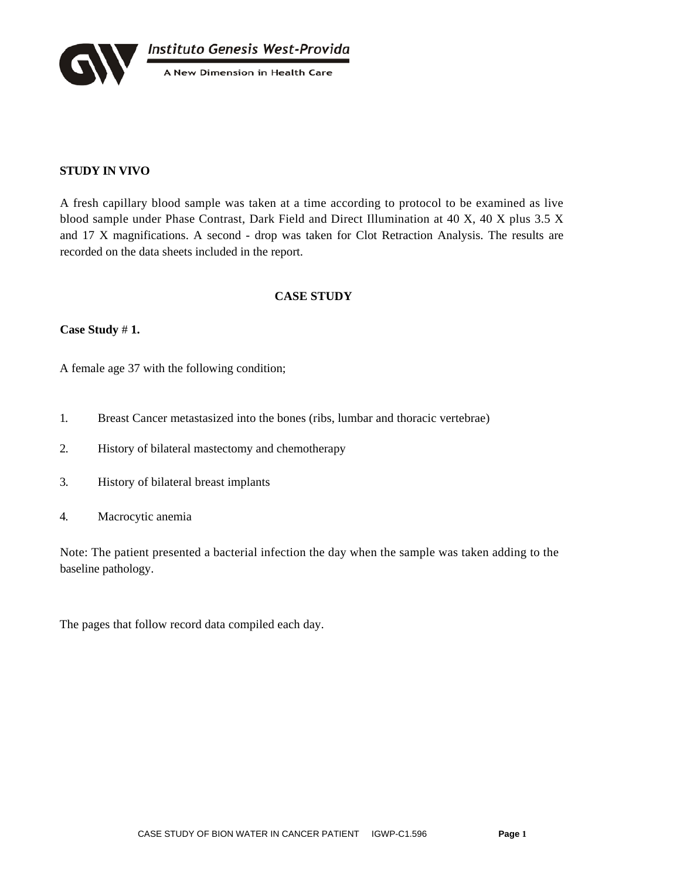

### **STUDY IN VIVO**

A fresh capillary blood sample was taken at a time according to protocol to be examined as live blood sample under Phase Contrast, Dark Field and Direct Illumination at 40 X, 40 X plus 3.5 X and 17 X magnifications. A second - drop was taken for Clot Retraction Analysis. The results are recorded on the data sheets included in the report.

### **CASE STUDY**

#### **Case Study** # **1.**

A female age 37 with the following condition;

- 1. Breast Cancer metastasized into the bones (ribs, lumbar and thoracic vertebrae)
- 2. History of bilateral mastectomy and chemotherapy
- 3. History of bilateral breast implants
- 4. Macrocytic anemia

Note: The patient presented a bacterial infection the day when the sample was taken adding to the baseline pathology.

The pages that follow record data compiled each day.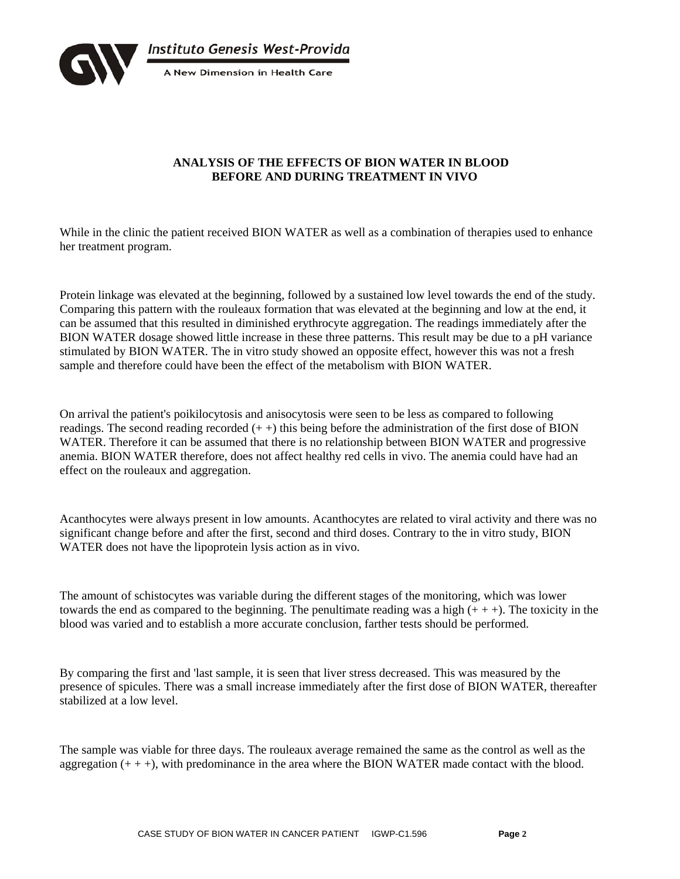

### **ANALYSIS OF THE EFFECTS OF BION WATER IN BLOOD BEFORE AND DURING TREATMENT IN VIVO**

While in the clinic the patient received BION WATER as well as a combination of therapies used to enhance her treatment program.

Protein linkage was elevated at the beginning, followed by a sustained low level towards the end of the study. Comparing this pattern with the rouleaux formation that was elevated at the beginning and low at the end, it can be assumed that this resulted in diminished erythrocyte aggregation. The readings immediately after the BION WATER dosage showed little increase in these three patterns. This result may be due to a pH variance stimulated by BION WATER. The in vitro study showed an opposite effect, however this was not a fresh sample and therefore could have been the effect of the metabolism with BION WATER.

On arrival the patient's poikilocytosis and anisocytosis were seen to be less as compared to following readings. The second reading recorded  $(+)$  this being before the administration of the first dose of BION WATER. Therefore it can be assumed that there is no relationship between BION WATER and progressive anemia. BION WATER therefore, does not affect healthy red cells in vivo. The anemia could have had an effect on the rouleaux and aggregation.

Acanthocytes were always present in low amounts. Acanthocytes are related to viral activity and there was no significant change before and after the first, second and third doses. Contrary to the in vitro study, BION WATER does not have the lipoprotein lysis action as in vivo.

The amount of schistocytes was variable during the different stages of the monitoring, which was lower towards the end as compared to the beginning. The penultimate reading was a high  $(++)$ . The toxicity in the blood was varied and to establish a more accurate conclusion, farther tests should be performed.

By comparing the first and 'last sample, it is seen that liver stress decreased. This was measured by the presence of spicules. There was a small increase immediately after the first dose of BION WATER, thereafter stabilized at a low level.

The sample was viable for three days. The rouleaux average remained the same as the control as well as the aggregation  $(+ + +)$ , with predominance in the area where the BION WATER made contact with the blood.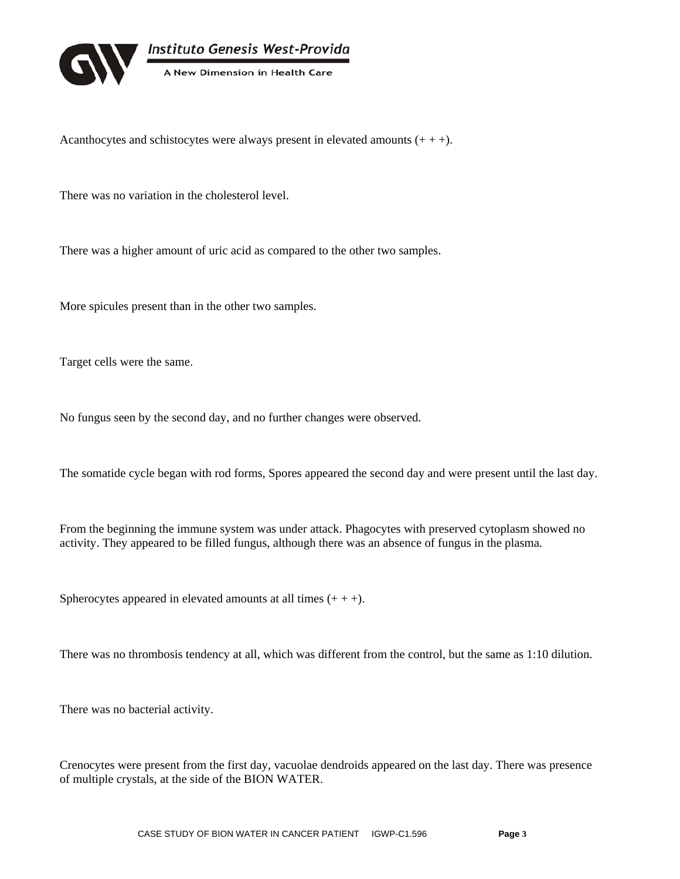

Acanthocytes and schistocytes were always present in elevated amounts  $(+ + +).$ 

There was no variation in the cholesterol level.

There was a higher amount of uric acid as compared to the other two samples.

More spicules present than in the other two samples.

Target cells were the same.

No fungus seen by the second day, and no further changes were observed.

The somatide cycle began with rod forms, Spores appeared the second day and were present until the last day.

From the beginning the immune system was under attack. Phagocytes with preserved cytoplasm showed no activity. They appeared to be filled fungus, although there was an absence of fungus in the plasma.

Spherocytes appeared in elevated amounts at all times  $(+ + +)$ .

There was no thrombosis tendency at all, which was different from the control, but the same as 1:10 dilution.

There was no bacterial activity.

Crenocytes were present from the first day, vacuolae dendroids appeared on the last day. There was presence of multiple crystals, at the side of the BION WATER.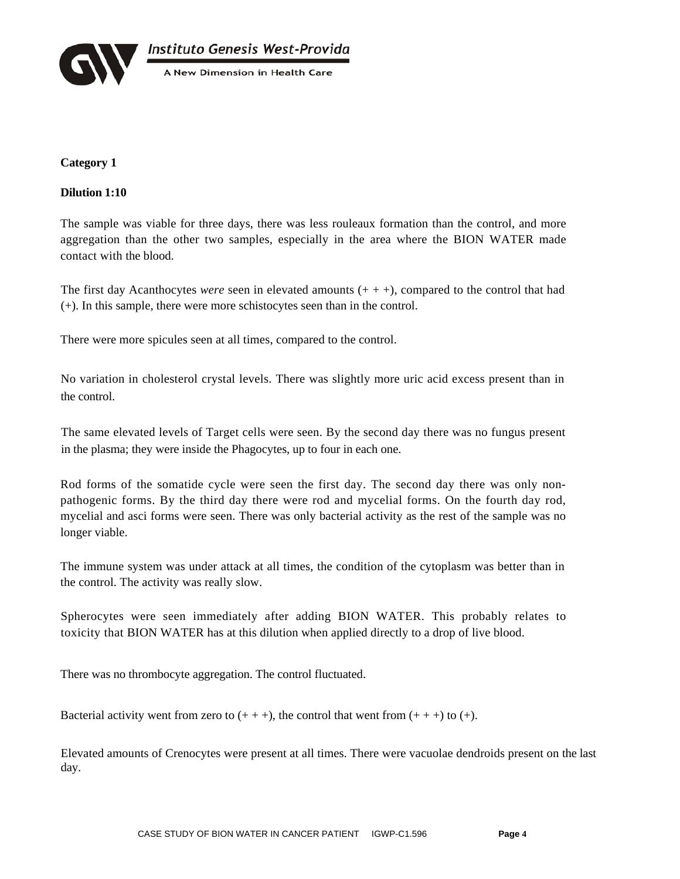

#### **Category 1**

**Dilution 1:10**

The sample was viable for three days, there was less rouleaux formation than the control, and more aggregation than the other two samples, especially in the area where the BION WATER made contact with the blood.

The first day Acanthocytes *were* seen in elevated amounts  $(+ + +)$ , compared to the control that had (+). In this sample, there were more schistocytes seen than in the control.

There were more spicules seen at all times, compared to the control.

No variation in cholesterol crystal levels. There was slightly more uric acid excess present than in the control.

The same elevated levels of Target cells were seen. By the second day there was no fungus present in the plasma; they were inside the Phagocytes, up to four in each one.

Rod forms of the somatide cycle were seen the first day. The second day there was only nonpathogenic forms. By the third day there were rod and mycelial forms. On the fourth day rod, mycelial and asci forms were seen. There was only bacterial activity as the rest of the sample was no longer viable.

The immune system was under attack at all times, the condition of the cytoplasm was better than in the control. The activity was really slow.

Spherocytes were seen immediately after adding BION WATER. This probably relates to toxicity that BION WATER has at this dilution when applied directly to a drop of live blood.

There was no thrombocyte aggregation. The control fluctuated.

Bacterial activity went from zero to  $(+ + +)$ , the control that went from  $(+ + +)$  to  $(+)$ .

Elevated amounts of Crenocytes were present at all times. There were vacuolae dendroids present on the last day.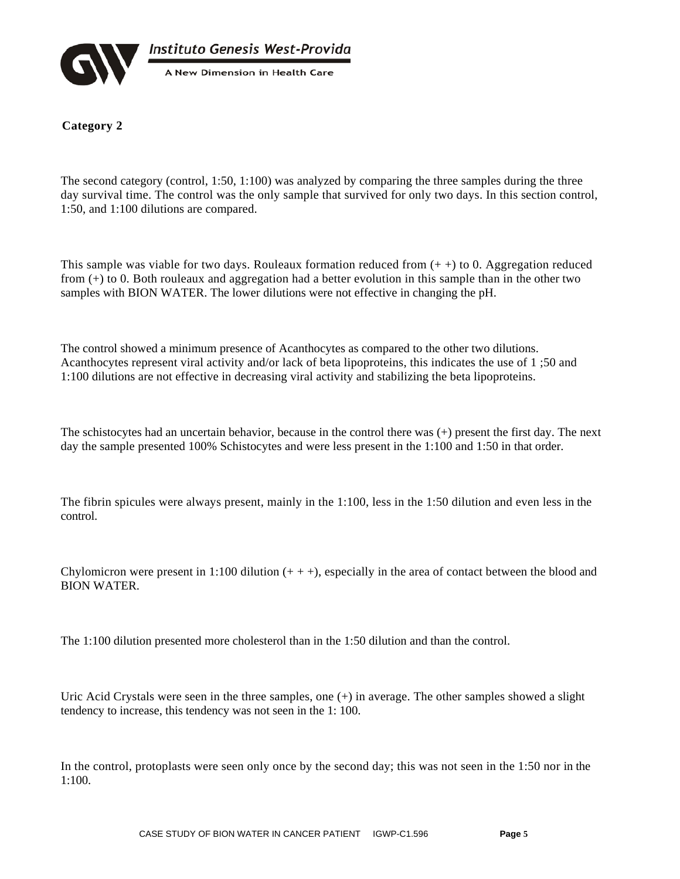

**Category 2**

The second category (control, 1:50, 1:100) was analyzed by comparing the three samples during the three day survival time. The control was the only sample that survived for only two days. In this section control, 1:50, and 1:100 dilutions are compared.

This sample was viable for two days. Rouleaux formation reduced from  $(+)$  to 0. Aggregation reduced from (+) to 0. Both rouleaux and aggregation had a better evolution in this sample than in the other two samples with BION WATER. The lower dilutions were not effective in changing the pH.

The control showed a minimum presence of Acanthocytes as compared to the other two dilutions. Acanthocytes represent viral activity and/or lack of beta lipoproteins, this indicates the use of 1 ;50 and 1:100 dilutions are not effective in decreasing viral activity and stabilizing the beta lipoproteins.

The schistocytes had an uncertain behavior, because in the control there was (+) present the first day. The next day the sample presented 100% Schistocytes and were less present in the 1:100 and 1:50 in that order.

The fibrin spicules were always present, mainly in the 1:100, less in the 1:50 dilution and even less in the control.

Chylomicron were present in 1:100 dilution  $(++)$ , especially in the area of contact between the blood and BION WATER.

The 1:100 dilution presented more cholesterol than in the 1:50 dilution and than the control.

Uric Acid Crystals were seen in the three samples, one  $(+)$  in average. The other samples showed a slight tendency to increase, this tendency was not seen in the 1: 100.

In the control, protoplasts were seen only once by the second day; this was not seen in the 1:50 nor in the  $1:100$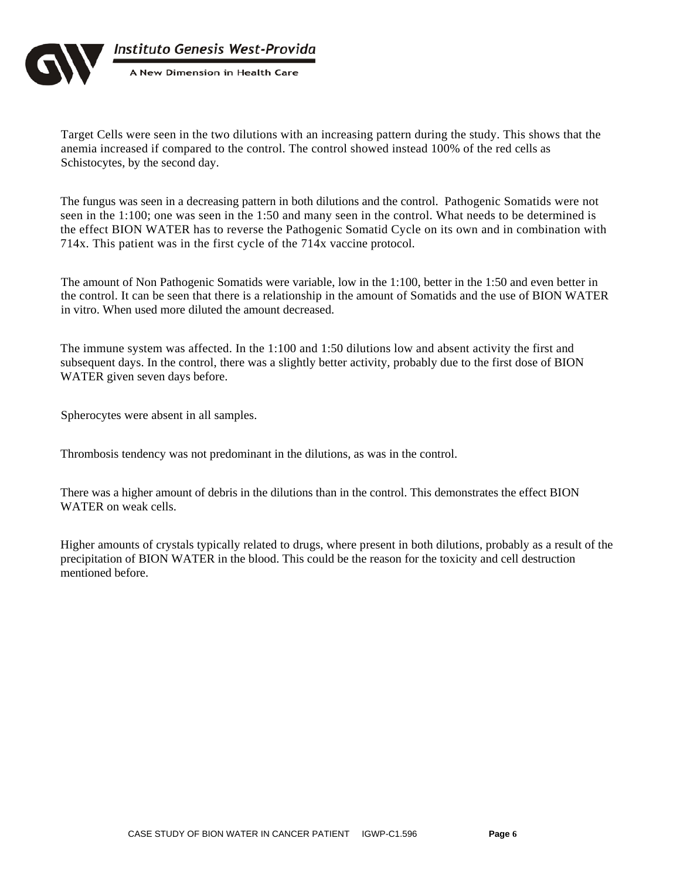

A New Dimension in Health Care

Target Cells were seen in the two dilutions with an increasing pattern during the study. This shows that the anemia increased if compared to the control. The control showed instead 100% of the red cells as Schistocytes, by the second day.

The fungus was seen in a decreasing pattern in both dilutions and the control. Pathogenic Somatids were not seen in the 1:100; one was seen in the 1:50 and many seen in the control. What needs to be determined is the effect BION WATER has to reverse the Pathogenic Somatid Cycle on its own and in combination with 714x. This patient was in the first cycle of the 714x vaccine protocol.

The amount of Non Pathogenic Somatids were variable, low in the 1:100, better in the 1:50 and even better in the control. It can be seen that there is a relationship in the amount of Somatids and the use of BION WATER in vitro. When used more diluted the amount decreased.

The immune system was affected. In the 1:100 and 1:50 dilutions low and absent activity the first and subsequent days. In the control, there was a slightly better activity, probably due to the first dose of BION WATER given seven days before.

Spherocytes were absent in all samples.

Thrombosis tendency was not predominant in the dilutions, as was in the control.

There was a higher amount of debris in the dilutions than in the control. This demonstrates the effect BION WATER on weak cells.

Higher amounts of crystals typically related to drugs, where present in both dilutions, probably as a result of the precipitation of BION WATER in the blood. This could be the reason for the toxicity and cell destruction mentioned before.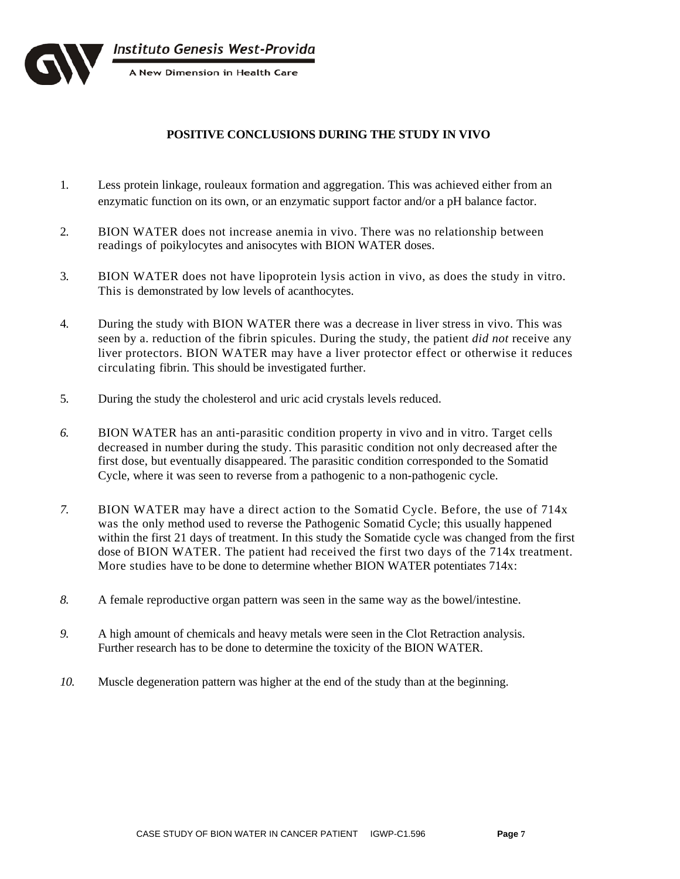Instituto Genesis West-Provida



#### A New Dimension in Health Care

## **POSITIVE CONCLUSIONS DURING THE STUDY IN VIVO**

- 1. Less protein linkage, rouleaux formation and aggregation. This was achieved either from an enzymatic function on its own, or an enzymatic support factor and/or a pH balance factor.
- 2. BION WATER does not increase anemia in vivo. There was no relationship between readings of poikylocytes and anisocytes with BION WATER doses.
- 3. BION WATER does not have lipoprotein lysis action in vivo, as does the study in vitro. This is demonstrated by low levels of acanthocytes.
- 4. During the study with BION WATER there was a decrease in liver stress in vivo. This was seen by a. reduction of the fibrin spicules. During the study, the patient *did not* receive any liver protectors. BION WATER may have a liver protector effect or otherwise it reduces circulating fibrin. This should be investigated further.
- 5. During the study the cholesterol and uric acid crystals levels reduced.
- *6.* BION WATER has an anti-parasitic condition property in vivo and in vitro. Target cells decreased in number during the study. This parasitic condition not only decreased after the first dose, but eventually disappeared. The parasitic condition corresponded to the Somatid Cycle, where it was seen to reverse from a pathogenic to a non-pathogenic cycle.
- *7.* BION WATER may have a direct action to the Somatid Cycle. Before, the use of 714x was the only method used to reverse the Pathogenic Somatid Cycle; this usually happened within the first 21 days of treatment. In this study the Somatide cycle was changed from the first dose of BION WATER. The patient had received the first two days of the 714x treatment. More studies have to be done to determine whether BION WATER potentiates 714x:
- *8.* A female reproductive organ pattern was seen in the same way as the bowel/intestine.
- *9.* A high amount of chemicals and heavy metals were seen in the Clot Retraction analysis. Further research has to be done to determine the toxicity of the BION WATER.
- *10.* Muscle degeneration pattern was higher at the end of the study than at the beginning.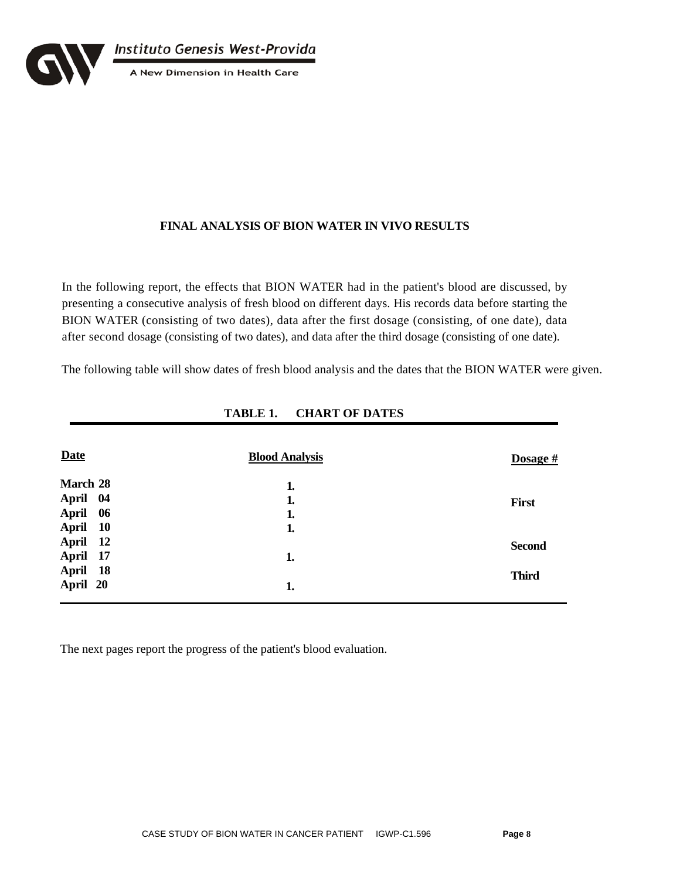

Instituto Genesis West-Provida

A New Dimension in Health Care

### **FINAL ANALYSIS OF BION WATER IN VIVO RESULTS**

In the following report, the effects that BION WATER had in the patient's blood are discussed, by presenting a consecutive analysis of fresh blood on different days. His records data before starting the BION WATER (consisting of two dates), data after the first dosage (consisting, of one date), data after second dosage (consisting of two dates), and data after the third dosage (consisting of one date).

The following table will show dates of fresh blood analysis and the dates that the BION WATER were given.

| <b>Date</b> | <b>Blood Analysis</b> | Dosage $#$    |
|-------------|-----------------------|---------------|
| March 28    | 1.                    |               |
| April 04    | 1.                    | <b>First</b>  |
| April 06    | 1.                    |               |
| April 10    | 1.                    |               |
| April 12    |                       | <b>Second</b> |
| April 17    | 1.                    |               |
| April 18    |                       | <b>Third</b>  |
| April 20    | 1.                    |               |

#### **TABLE 1. CHART OF DATES**

The next pages report the progress of the patient's blood evaluation.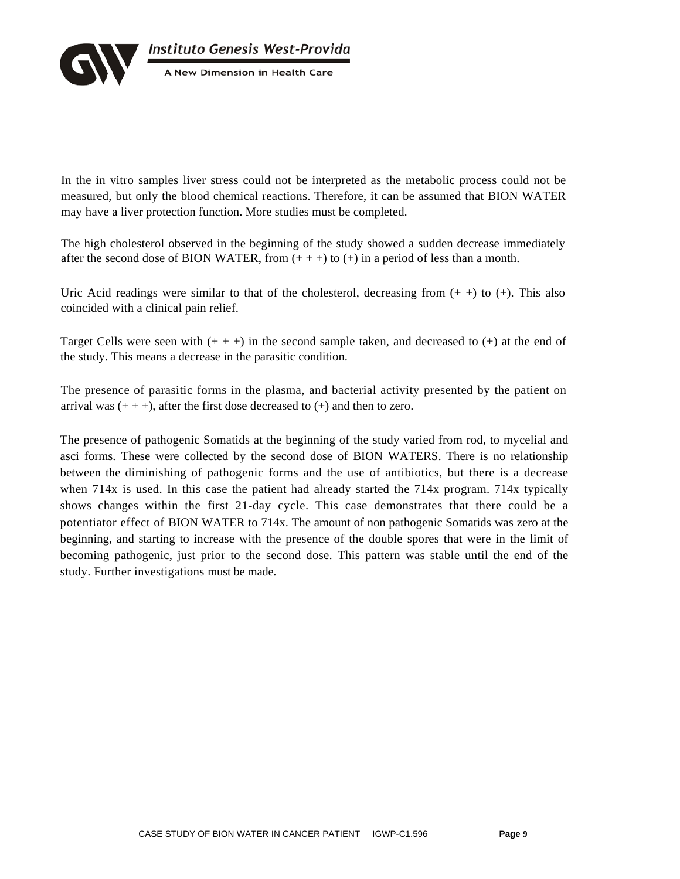

In the in vitro samples liver stress could not be interpreted as the metabolic process could not be measured, but only the blood chemical reactions. Therefore, it can be assumed that BION WATER may have a liver protection function. More studies must be completed.

The high cholesterol observed in the beginning of the study showed a sudden decrease immediately after the second dose of BION WATER, from  $(++)$  to  $(+)$  in a period of less than a month.

Uric Acid readings were similar to that of the cholesterol, decreasing from  $(+)$  to  $(+)$ . This also coincided with a clinical pain relief.

Target Cells were seen with  $(+ + +)$  in the second sample taken, and decreased to  $(+)$  at the end of the study. This means a decrease in the parasitic condition.

The presence of parasitic forms in the plasma, and bacterial activity presented by the patient on arrival was  $(+ + +)$ , after the first dose decreased to  $(+)$  and then to zero.

The presence of pathogenic Somatids at the beginning of the study varied from rod, to mycelial and asci forms. These were collected by the second dose of BION WATERS. There is no relationship between the diminishing of pathogenic forms and the use of antibiotics, but there is a decrease when 714x is used. In this case the patient had already started the 714x program. 714x typically shows changes within the first 21-day cycle. This case demonstrates that there could be a potentiator effect of BION WATER to 714x. The amount of non pathogenic Somatids was zero at the beginning, and starting to increase with the presence of the double spores that were in the limit of becoming pathogenic, just prior to the second dose. This pattern was stable until the end of the study. Further investigations must be made.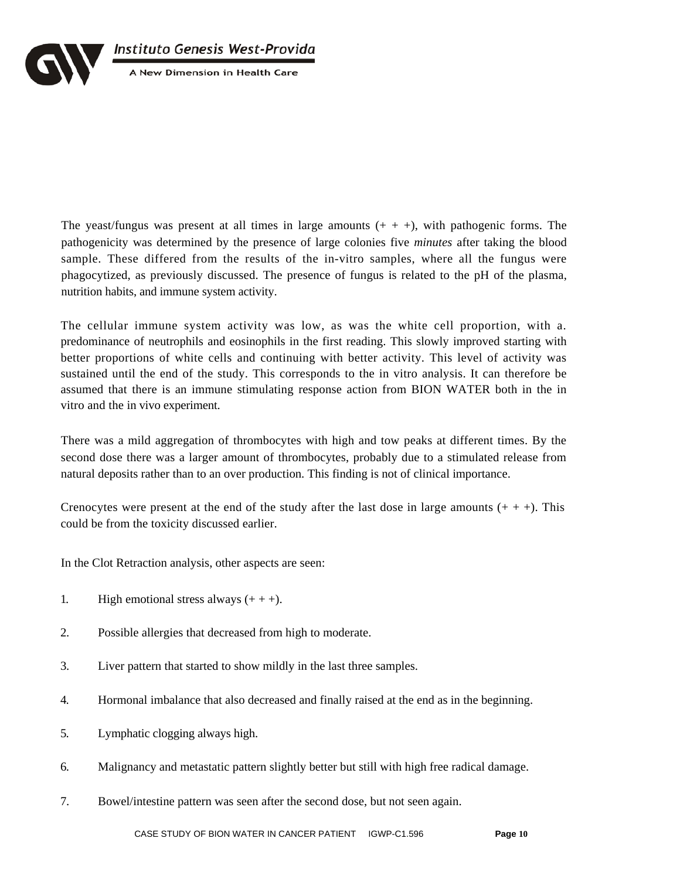

Instituto Genesis West-Provida

A New Dimension in Health Care

The yeast/fungus was present at all times in large amounts  $(+ + +)$ , with pathogenic forms. The pathogenicity was determined by the presence of large colonies five *minutes* after taking the blood sample. These differed from the results of the in-vitro samples, where all the fungus were phagocytized, as previously discussed. The presence of fungus is related to the pH of the plasma, nutrition habits, and immune system activity.

The cellular immune system activity was low, as was the white cell proportion, with a. predominance of neutrophils and eosinophils in the first reading. This slowly improved starting with better proportions of white cells and continuing with better activity. This level of activity was sustained until the end of the study. This corresponds to the in vitro analysis. It can therefore be assumed that there is an immune stimulating response action from BION WATER both in the in vitro and the in vivo experiment.

There was a mild aggregation of thrombocytes with high and tow peaks at different times. By the second dose there was a larger amount of thrombocytes, probably due to a stimulated release from natural deposits rather than to an over production. This finding is not of clinical importance.

Crenocytes were present at the end of the study after the last dose in large amounts  $(++)$ . This could be from the toxicity discussed earlier.

In the Clot Retraction analysis, other aspects are seen:

- 1. High emotional stress always  $(+ + +)$ .
- 2. Possible allergies that decreased from high to moderate.
- 3. Liver pattern that started to show mildly in the last three samples.
- 4. Hormonal imbalance that also decreased and finally raised at the end as in the beginning.
- 5. Lymphatic clogging always high.
- 6. Malignancy and metastatic pattern slightly better but still with high free radical damage.
- 7. Bowel/intestine pattern was seen after the second dose, but not seen again.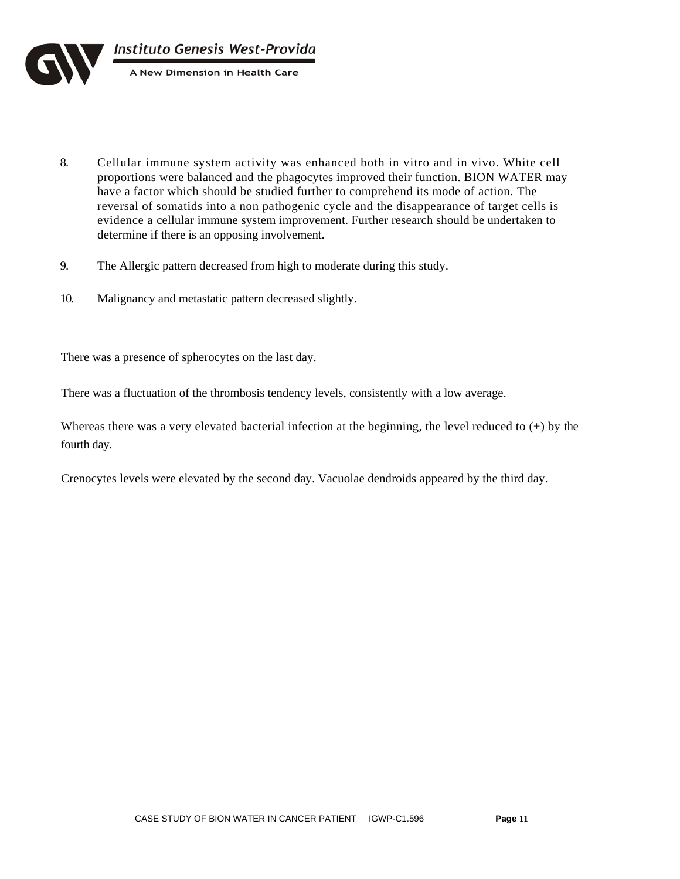

- 8. Cellular immune system activity was enhanced both in vitro and in vivo. White cell proportions were balanced and the phagocytes improved their function. BION WATER may have a factor which should be studied further to comprehend its mode of action. The reversal of somatids into a non pathogenic cycle and the disappearance of target cells is evidence a cellular immune system improvement. Further research should be undertaken to determine if there is an opposing involvement.
- 9. The Allergic pattern decreased from high to moderate during this study.
- 10. Malignancy and metastatic pattern decreased slightly.

There was a presence of spherocytes on the last day.

There was a fluctuation of the thrombosis tendency levels, consistently with a low average.

Whereas there was a very elevated bacterial infection at the beginning, the level reduced to (+) by the fourth day.

Crenocytes levels were elevated by the second day. Vacuolae dendroids appeared by the third day.